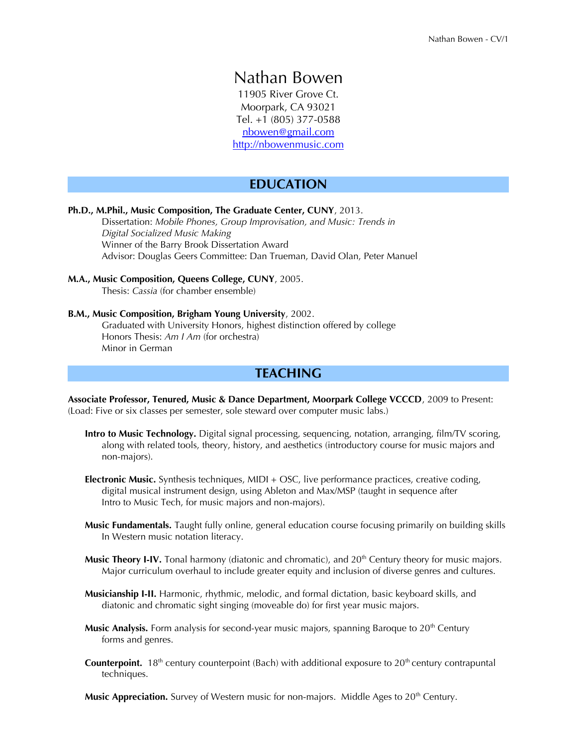# Nathan Bowen

11905 River Grove Ct. Moorpark, CA 93021 Tel. +1 (805) 377-0588  [nbowen@g](mailto:nbowen@gmail.com)mail.com  [http://nbo](http://nb23.com/blog)wenmusic.com

# **EDUCATION**

### **Ph.D., M.Phil., Music Composition, The Graduate Center, CUNY**, 2013.

Dissertation: *Mobile Phones, Group Improvisation, and Music: Trends in Digital Socialized Music Making* Winner of the Barry Brook Dissertation Award Advisor: Douglas Geers Committee: Dan Trueman, David Olan, Peter Manuel

### **M.A., Music Composition, Queens College, CUNY**, 2005.

Thesis: *Cassia* (for chamber ensemble)

## **B.M., Music Composition, Brigham Young University**, 2002.

Graduated with University Honors, highest distinction offered by college Honors Thesis: *Am I Am* (for orchestra) Minor in German

## **TEACHING**

**Associate Professor, Tenured, Music & Dance Department, Moorpark College VCCCD**, 2009 to Present: (Load: Five or six classes per semester, sole steward over computer music labs.)

- **Intro to Music Technology.** Digital signal processing, sequencing, notation, arranging, flm/TV scoring, along with related tools, theory, history, and aesthetics (introductory course for music majors and non-majors).
- **Electronic Music.** Synthesis techniques, MIDI + OSC, live performance practices, creative coding, digital musical instrument design, using Ableton and Max/MSP (taught in sequence after Intro to Music Tech, for music majors and non-majors).
- **Music Fundamentals.** Taught fully online, general education course focusing primarily on building skills In Western music notation literacy.
- Music Theory I-IV. Tonal harmony (diatonic and chromatic), and 20<sup>th</sup> Century theory for music majors. Major curriculum overhaul to include greater equity and inclusion of diverse genres and cultures.
- **Musicianship I-II.** Harmonic, rhythmic, melodic, and formal dictation, basic keyboard skills, and diatonic and chromatic sight singing (moveable do) for first year music majors.
- **Music Analysis.** Form analysis for second-year music majors, spanning Baroque to 20<sup>th</sup> Century forms and genres.
- **Counterpoint.** 18<sup>th</sup> century counterpoint (Bach) with additional exposure to 20<sup>th</sup> century contrapuntal techniques.

**Music Appreciation.** Survey of Western music for non-majors. Middle Ages to 20<sup>th</sup> Century.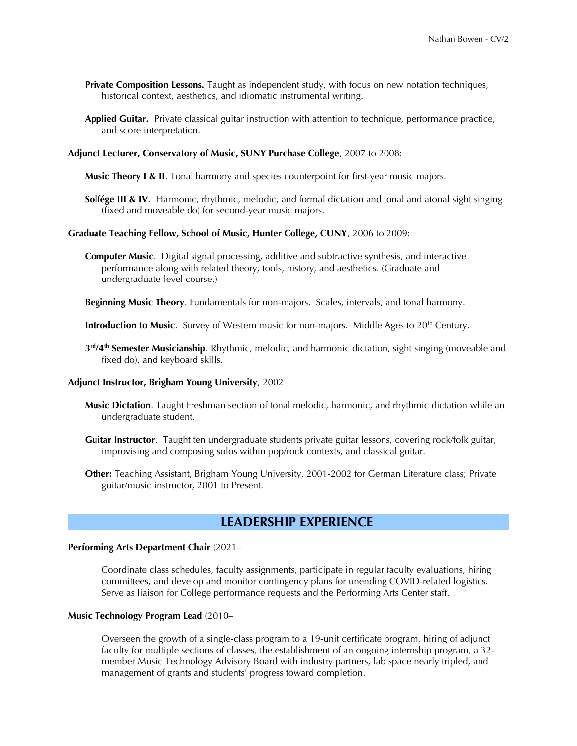- **Private Composition Lessons.** Taught as independent study, with focus on new notation techniques, historical context, aesthetics, and idiomatic instrumental writing.
- **Applied Guitar.** Private classical guitar instruction with attention to technique, performance practice, and score interpretation.
- **Adjunct Lecturer, Conservatory of Music, SUNY Purchase College**, 2007 to 2008:
	- **Music Theory I & II**. Tonal harmony and species counterpoint for first-year music majors.
	- **Solfége III & IV**. Harmonic, rhythmic, melodic, and formal dictation and tonal and atonal sight singing (fxed and moveable do) for second-year music majors.

#### **Graduate Teaching Fellow, School of Music, Hunter College, CUNY**, 2006 to 2009:

**Computer Music**. Digital signal processing, additive and subtractive synthesis, and interactive performance along with related theory, tools, history, and aesthetics. (Graduate and undergraduate-level course.)

**Beginning Music Theory**. Fundamentals for non-majors. Scales, intervals, and tonal harmony.

**Introduction to Music**. Survey of Western music for non-majors. Middle Ages to 20<sup>th</sup> Century.

**3 rd/4th Semester Musicianship**. Rhythmic, melodic, and harmonic dictation, sight singing (moveable and fixed do), and keyboard skills.

#### **Adjunct Instructor, Brigham Young University**, 2002

- **Music Dictation**. Taught Freshman section of tonal melodic, harmonic, and rhythmic dictation while an undergraduate student.
- **Guitar Instructor**. Taught ten undergraduate students private guitar lessons, covering rock/folk guitar, improvising and composing solos within pop/rock contexts, and classical guitar.
- **Other:** Teaching Assistant, Brigham Young University, 2001-2002 for German Literature class; Private guitar/music instructor, 2001 to Present.

# **LEADERSHIP EXPERIENCE**

#### **Performing Arts Department Chair** (2021–

Coordinate class schedules, faculty assignments, participate in regular faculty evaluations, hiring committees, and develop and monitor contingency plans for unending COVID-related logistics. Serve as liaison for College performance requests and the Performing Arts Center staff.

#### **Music Technology Program Lead** (2010–

Overseen the growth of a single-class program to a 19-unit certifcate program, hiring of adjunct faculty for multiple sections of classes, the establishment of an ongoing internship program, a 32 member Music Technology Advisory Board with industry partners, lab space nearly tripled, and management of grants and students' progress toward completion.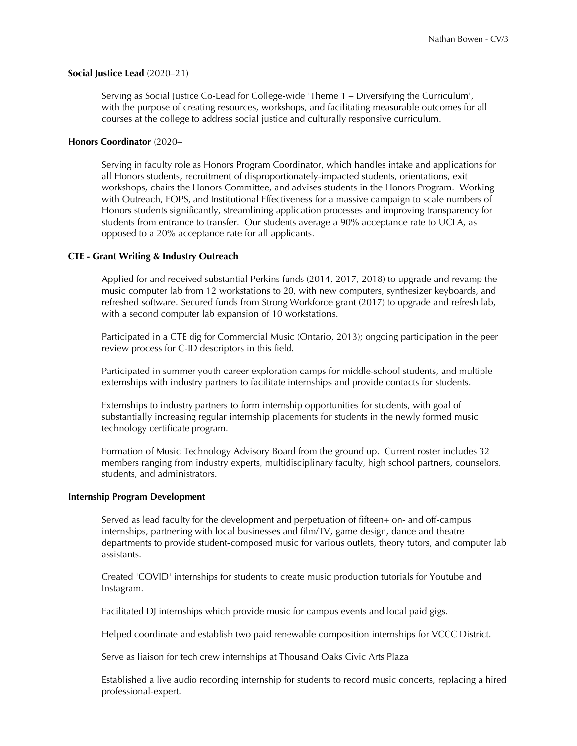### **Social Justice Lead** (2020–21)

Serving as Social Justice Co-Lead for College-wide 'Theme 1 – Diversifying the Curriculum', with the purpose of creating resources, workshops, and facilitating measurable outcomes for all courses at the college to address social justice and culturally responsive curriculum.

#### **Honors Coordinator** (2020–

Serving in faculty role as Honors Program Coordinator, which handles intake and applications for all Honors students, recruitment of disproportionately-impacted students, orientations, exit workshops, chairs the Honors Committee, and advises students in the Honors Program. Working with Outreach, EOPS, and Institutional Effectiveness for a massive campaign to scale numbers of Honors students signifcantly, streamlining application processes and improving transparency for students from entrance to transfer. Our students average a 90% acceptance rate to UCLA, as opposed to a 20% acceptance rate for all applicants.

#### **CTE - Grant Writing & Industry Outreach**

Applied for and received substantial Perkins funds (2014, 2017, 2018) to upgrade and revamp the music computer lab from 12 workstations to 20, with new computers, synthesizer keyboards, and refreshed software. Secured funds from Strong Workforce grant (2017) to upgrade and refresh lab, with a second computer lab expansion of 10 workstations.

Participated in a CTE dig for Commercial Music (Ontario, 2013); ongoing participation in the peer review process for C-ID descriptors in this field.

Participated in summer youth career exploration camps for middle-school students, and multiple externships with industry partners to facilitate internships and provide contacts for students.

Externships to industry partners to form internship opportunities for students, with goal of substantially increasing regular internship placements for students in the newly formed music technology certificate program.

Formation of Music Technology Advisory Board from the ground up. Current roster includes 32 members ranging from industry experts, multidisciplinary faculty, high school partners, counselors, students, and administrators.

### **Internship Program Development**

Served as lead faculty for the development and perpetuation of ffteen+ on- and off-campus internships, partnering with local businesses and film/TV, game design, dance and theatre departments to provide student-composed music for various outlets, theory tutors, and computer lab assistants.

Created 'COVID' internships for students to create music production tutorials for Youtube and Instagram.

Facilitated DJ internships which provide music for campus events and local paid gigs.

Helped coordinate and establish two paid renewable composition internships for VCCC District.

Serve as liaison for tech crew internships at Thousand Oaks Civic Arts Plaza

Established a live audio recording internship for students to record music concerts, replacing a hired professional-expert.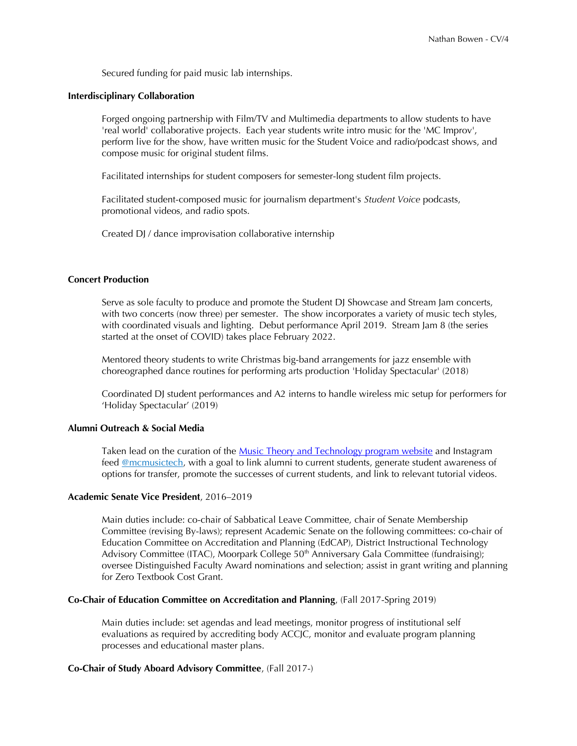Secured funding for paid music lab internships.

### **Interdisciplinary Collaboration**

Forged ongoing partnership with Film/TV and Multimedia departments to allow students to have 'real world' collaborative projects. Each year students write intro music for the 'MC Improv', perform live for the show, have written music for the Student Voice and radio/podcast shows, and compose music for original student flms.

Facilitated internships for student composers for semester-long student flm projects.

Facilitated student-composed music for journalism department's *Student Voice* podcasts, promotional videos, and radio spots.

Created DJ / dance improvisation collaborative internship

## **Concert Production**

Serve as sole faculty to produce and promote the Student DJ Showcase and Stream Jam concerts, with two concerts (now three) per semester. The show incorporates a variety of music tech styles, with coordinated visuals and lighting. Debut performance April 2019. Stream Jam 8 (the series started at the onset of COVID) takes place February 2022.

Mentored theory students to write Christmas big-band arrangements for jazz ensemble with choreographed dance routines for performing arts production 'Holiday Spectacular' (2018)

Coordinated DJ student performances and A2 interns to handle wireless mic setup for performers for 'Holiday Spectacular' (2019)

#### **Alumni Outreach & Social Media**

Taken lead on the curation of the [Music Theory and Technology program website](https://www.moorparkcollege.edu/departments/academic/music/music-theory-and-technology) and Instagram feed [@mcmusictech,](https://www.instagram.com/mcmusictech/) with a goal to link alumni to current students, generate student awareness of options for transfer, promote the successes of current students, and link to relevant tutorial videos.

#### **Academic Senate Vice President**, 2016–2019

Main duties include: co-chair of Sabbatical Leave Committee, chair of Senate Membership Committee (revising By-laws); represent Academic Senate on the following committees: co-chair of Education Committee on Accreditation and Planning (EdCAP), District Instructional Technology Advisory Committee (ITAC), Moorpark College  $50<sup>th</sup>$  Anniversary Gala Committee (fundraising); oversee Distinguished Faculty Award nominations and selection; assist in grant writing and planning for Zero Textbook Cost Grant.

### **Co-Chair of Education Committee on Accreditation and Planning**, (Fall 2017-Spring 2019)

Main duties include: set agendas and lead meetings, monitor progress of institutional self evaluations as required by accrediting body ACCJC, monitor and evaluate program planning processes and educational master plans.

## **Co-Chair of Study Aboard Advisory Committee**, (Fall 2017-)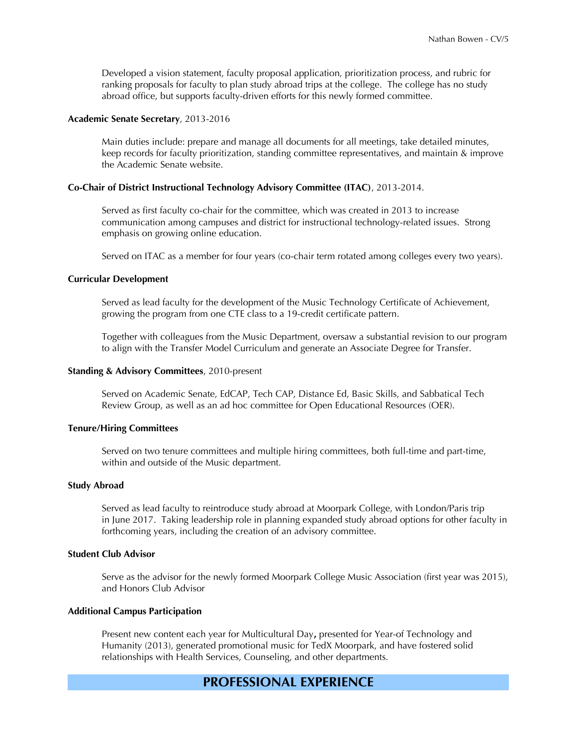Developed a vision statement, faculty proposal application, prioritization process, and rubric for ranking proposals for faculty to plan study abroad trips at the college. The college has no study abroad office, but supports faculty-driven efforts for this newly formed committee.

#### **Academic Senate Secretary**, 2013-2016

Main duties include: prepare and manage all documents for all meetings, take detailed minutes, keep records for faculty prioritization, standing committee representatives, and maintain & improve the Academic Senate website.

#### **Co-Chair of District Instructional Technology Advisory Committee (ITAC)**, 2013-2014.

Served as frst faculty co-chair for the committee, which was created in 2013 to increase communication among campuses and district for instructional technology-related issues. Strong emphasis on growing online education.

Served on ITAC as a member for four years (co-chair term rotated among colleges every two years).

### **Curricular Development**

Served as lead faculty for the development of the Music Technology Certifcate of Achievement, growing the program from one CTE class to a 19-credit certifcate pattern.

Together with colleagues from the Music Department, oversaw a substantial revision to our program to align with the Transfer Model Curriculum and generate an Associate Degree for Transfer.

### **Standing & Advisory Committees**, 2010-present

Served on Academic Senate, EdCAP, Tech CAP, Distance Ed, Basic Skills, and Sabbatical Tech Review Group, as well as an ad hoc committee for Open Educational Resources (OER).

### **Tenure/Hiring Committees**

Served on two tenure committees and multiple hiring committees, both full-time and part-time, within and outside of the Music department.

#### **Study Abroad**

Served as lead faculty to reintroduce study abroad at Moorpark College, with London/Paris trip in June 2017. Taking leadership role in planning expanded study abroad options for other faculty in forthcoming years, including the creation of an advisory committee.

## **Student Club Advisor**

Serve as the advisor for the newly formed Moorpark College Music Association (frst year was 2015), and Honors Club Advisor

## **Additional Campus Participation**

Present new content each year for Multicultural Day**,** presented for Year-of Technology and Humanity (2013), generated promotional music for TedX Moorpark, and have fostered solid relationships with Health Services, Counseling, and other departments.

# **PROFESSIONAL EXPERIENCE**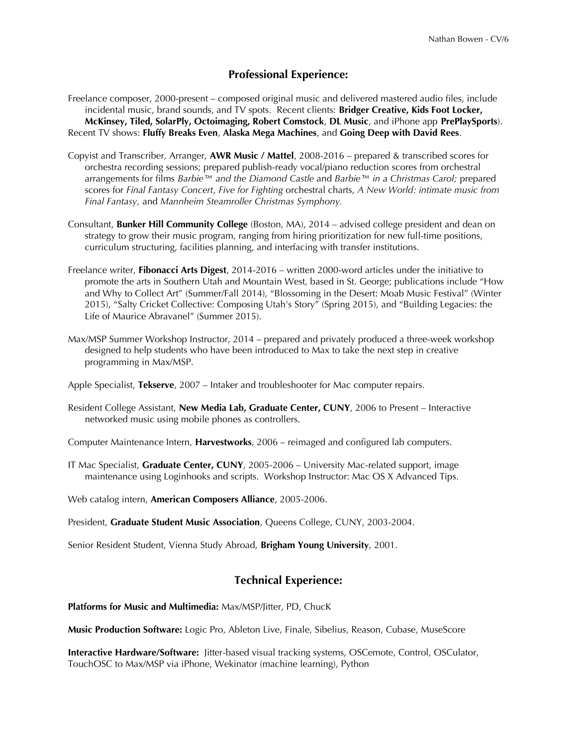# **Professional Experience:**

- Freelance composer, 2000-present composed original music and delivered mastered audio files, include incidental music, brand sounds, and TV spots. Recent clients: **Bridger Creative, Kids Foot Locker, McKinsey, Tiled, SolarPly, Octoimaging, Robert Comstock**, **DL Music**, and iPhone app **PrePlaySports**). Recent TV shows: **Fluffy Breaks Even**, **Alaska Mega Machines**, and **Going Deep with David Rees**.
- Copyist and Transcriber, Arranger, **AWR Music / Mattel**, 2008-2016 prepared & transcribed scores for orchestra recording sessions; prepared publish-ready vocal/piano reduction scores from orchestral arrangements for flms *Barbie™ and the Diamond Castle* and *Barbie™ in a Christmas Carol;* prepared scores for *Final Fantasy Concert*, *Five for Fighting* orchestral charts, *A New World: intimate music from Final Fantasy,* and *Mannheim Steamroller Christmas Symphony.*
- Consultant, **Bunker Hill Community College** (Boston, MA), 2014 advised college president and dean on strategy to grow their music program, ranging from hiring prioritization for new full-time positions, curriculum structuring, facilities planning, and interfacing with transfer institutions.
- Freelance writer, **Fibonacci Arts Digest**, 2014-2016 written 2000-word articles under the initiative to promote the arts in Southern Utah and Mountain West, based in St. George; publications include "How and Why to Collect Art" (Summer/Fall 2014), "Blossoming in the Desert: Moab Music Festival" (Winter 2015), "Salty Cricket Collective: Composing Utah's Story" (Spring 2015), and "Building Legacies: the Life of Maurice Abravanel" (Summer 2015).
- Max/MSP Summer Workshop Instructor, 2014 prepared and privately produced a three-week workshop designed to help students who have been introduced to Max to take the next step in creative programming in Max/MSP.

Apple Specialist, **Tekserve**, 2007 – Intaker and troubleshooter for Mac computer repairs.

Resident College Assistant, **New Media Lab, Graduate Center, CUNY**, 2006 to Present – Interactive networked music using mobile phones as controllers.

Computer Maintenance Intern, **Harvestworks**, 2006 – reimaged and confgured lab computers.

IT Mac Specialist, **Graduate Center, CUNY**, 2005-2006 – University Mac-related support, image maintenance using Loginhooks and scripts. Workshop Instructor: Mac OS X Advanced Tips.

Web catalog intern, **American Composers Alliance**, 2005-2006.

President, **Graduate Student Music Association**, Queens College, CUNY, 2003-2004.

Senior Resident Student, Vienna Study Abroad, **Brigham Young University**, 2001.

# **Technical Experience:**

**Platforms for Music and Multimedia:** Max/MSP/Jitter, PD, ChucK

**Music Production Software:** Logic Pro, Ableton Live, Finale, Sibelius, Reason, Cubase, MuseScore

**Interactive Hardware/Software:** Jitter-based visual tracking systems, OSCemote, Control, OSCulator, TouchOSC to Max/MSP via iPhone, Wekinator (machine learning), Python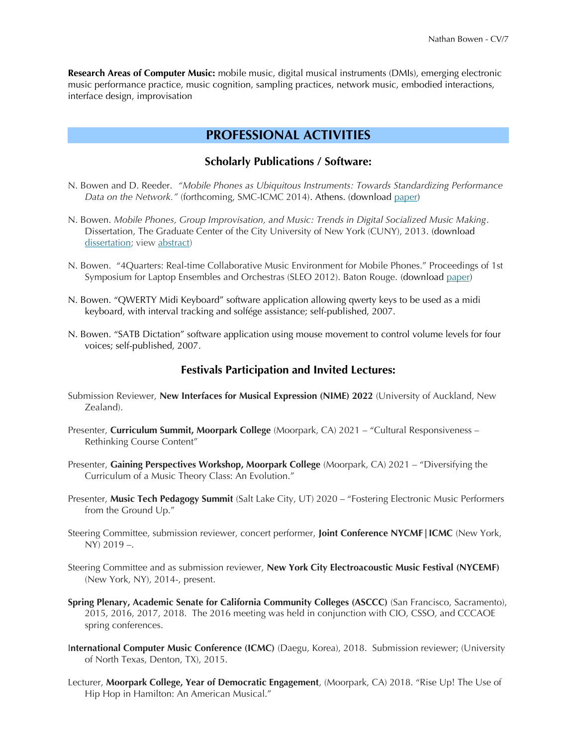**Research Areas of Computer Music:** mobile music, digital musical instruments (DMIs), emerging electronic music performance practice, music cognition, sampling practices, network music, embodied interactions, interface design, improvisation

# **PROFESSIONAL ACTIVITIES**

## **Scholarly Publications / Software:**

- N. Bowen and D. Reeder. *"Mobile Phones as Ubiquitous Instruments: Towards Standardizing Performance Data on the Network."* (forthcoming, SMC-ICMC 2014). Athens. (download [paper\)](http://mobilesound.org/ubi-osc.pdf)
- N. Bowen. *Mobile Phones, Group Improvisation, and Music: Trends in Digital Socialized Music Making*. Dissertation, The Graduate Center of the City University of New York (CUNY), 2013. (download [dissertation;](http://nb23.com/NathanBowen_Dissertation.pdf) view [abstract\)](http://nb23.com/NathanBowen_DissertationAbstract.pdf)
- N. Bowen. "4Quarters: Real-time Collaborative Music Environment for Mobile Phones." Proceedings of 1st Symposium for Laptop Ensembles and Orchestras (SLEO 2012). Baton Rouge. (download [paper\)](http://nb23.com/blog/ftp:/nsbowen@shock.dreamhost.com/nb23.com/blog/wp-content/uploads/2012/12/Bowen_4Quarters_SLEO.pdf)
- N. Bowen. "QWERTY Midi Keyboard" software application allowing qwerty keys to be used as a midi keyboard, with interval tracking and solfége assistance; self-published, 2007.
- N. Bowen. "SATB Dictation" software application using mouse movement to control volume levels for four voices; self-published, 2007.

## **Festivals Participation and Invited Lectures:**

- Submission Reviewer, **New Interfaces for Musical Expression (NIME) 2022** (University of Auckland, New Zealand).
- Presenter, **Curriculum Summit, Moorpark College** (Moorpark, CA) 2021 "Cultural Responsiveness Rethinking Course Content"
- Presenter, **Gaining Perspectives Workshop, Moorpark College** (Moorpark, CA) 2021 "Diversifying the Curriculum of a Music Theory Class: An Evolution."
- Presenter, **Music Tech Pedagogy Summit** (Salt Lake City, UT) 2020 "Fostering Electronic Music Performers from the Ground Up."
- Steering Committee, submission reviewer, concert performer, **Joint Conference NYCMF|ICMC** (New York, NY) 2019 –.
- Steering Committee and as submission reviewer, **New York City Electroacoustic Music Festival (NYCEMF)**  (New York, NY), 2014-, present.
- **Spring Plenary, Academic Senate for California Community Colleges (ASCCC)** (San Francisco, Sacramento), 2015, 2016, 2017, 2018. The 2016 meeting was held in conjunction with CIO, CSSO, and CCCAOE spring conferences.
- I**nternational Computer Music Conference (ICMC)** (Daegu, Korea), 2018. Submission reviewer; (University of North Texas, Denton, TX), 2015.
- Lecturer, **Moorpark College, Year of Democratic Engagement**, (Moorpark, CA) 2018. "Rise Up! The Use of Hip Hop in Hamilton: An American Musical."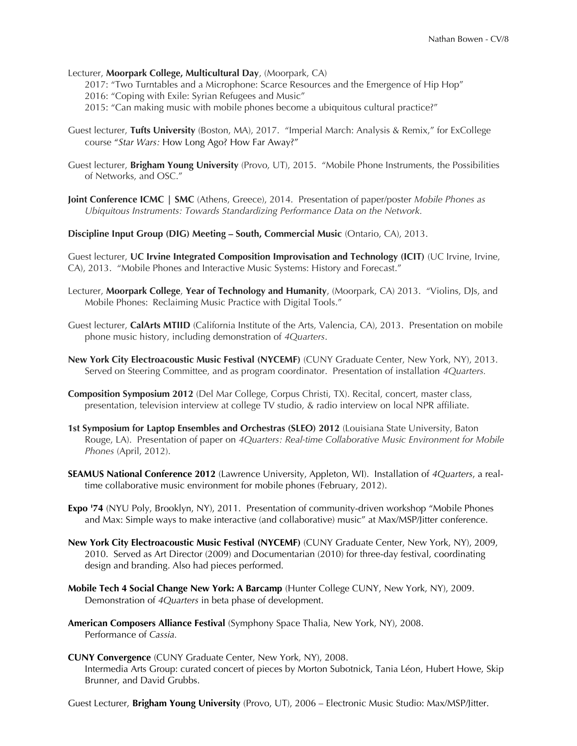## Lecturer, **Moorpark College, Multicultural Day**, (Moorpark, CA)

- 2017: "Two Turntables and a Microphone: Scarce Resources and the Emergence of Hip Hop"
- 2016: "Coping with Exile: Syrian Refugees and Music"
- 2015: "Can making music with mobile phones become a ubiquitous cultural practice?"
- Guest lecturer, **Tufts University** (Boston, MA), 2017. "Imperial March: Analysis & Remix," for ExCollege course "*Star Wars:* How Long Ago? How Far Away?"
- Guest lecturer, **Brigham Young University** (Provo, UT), 2015. "Mobile Phone Instruments, the Possibilities of Networks, and OSC."
- **Joint Conference ICMC | SMC** (Athens, Greece), 2014. Presentation of paper/poster *Mobile Phones as Ubiquitous Instruments: Towards Standardizing Performance Data on the Network.*

**Discipline Input Group (DIG) Meeting – South, Commercial Music** (Ontario, CA), 2013.

Guest lecturer, **UC Irvine Integrated Composition Improvisation and Technology (ICIT)** (UC Irvine, Irvine, CA), 2013. "Mobile Phones and Interactive Music Systems: History and Forecast."

- Lecturer, **Moorpark College**, **Year of Technology and Humanity**, (Moorpark, CA) 2013. "Violins, DJs, and Mobile Phones: Reclaiming Music Practice with Digital Tools."
- Guest lecturer, **CalArts MTIID** (California Institute of the Arts, Valencia, CA), 2013. Presentation on mobile phone music history, including demonstration of *4Quarters*.
- **New York City Electroacoustic Music Festival (NYCEMF)** (CUNY Graduate Center, New York, NY), 2013. Served on Steering Committee, and as program coordinator. Presentation of installation *4Quarters.*
- **Composition Symposium 2012** (Del Mar College, Corpus Christi, TX). Recital, concert, master class, presentation, television interview at college TV studio, & radio interview on local NPR affliate.
- **1st Symposium for Laptop Ensembles and Orchestras (SLEO) 2012** (Louisiana State University, Baton Rouge, LA). Presentation of paper on *4Quarters: Real-time Collaborative Music Environment for Mobile Phones* (April, 2012).
- **SEAMUS National Conference 2012** (Lawrence University, Appleton, WI). Installation of *4Quarters*, a realtime collaborative music environment for mobile phones (February, 2012).
- **Expo '74** (NYU Poly, Brooklyn, NY), 2011. Presentation of community-driven workshop "Mobile Phones and Max: Simple ways to make interactive (and collaborative) music" at Max/MSP/Jitter conference.
- **New York City Electroacoustic Music Festival (NYCEMF)** (CUNY Graduate Center, New York, NY), 2009, 2010. Served as Art Director (2009) and Documentarian (2010) for three-day festival, coordinating design and branding. Also had pieces performed.
- **Mobile Tech 4 Social Change New York: A Barcamp** (Hunter College CUNY, New York, NY), 2009. Demonstration of *4Quarters* in beta phase of development.
- **American Composers Alliance Festival** (Symphony Space Thalia, New York, NY), 2008. Performance of *Cassia.*
- **CUNY Convergence** (CUNY Graduate Center, New York, NY), 2008. Intermedia Arts Group: curated concert of pieces by Morton Subotnick, Tania Léon, Hubert Howe, Skip Brunner, and David Grubbs.

Guest Lecturer, **Brigham Young University** (Provo, UT), 2006 – Electronic Music Studio: Max/MSP/Jitter.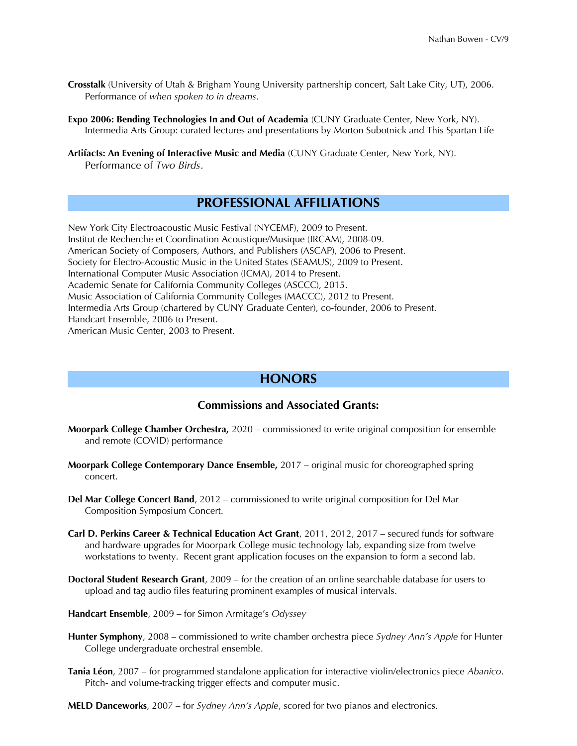- **Crosstalk** (University of Utah & Brigham Young University partnership concert, Salt Lake City, UT), 2006. Performance of *when spoken to in dreams*.
- **Expo 2006: Bending Technologies In and Out of Academia** (CUNY Graduate Center, New York, NY). Intermedia Arts Group: curated lectures and presentations by Morton Subotnick and This Spartan Life
- **Artifacts: An Evening of Interactive Music and Media** (CUNY Graduate Center, New York, NY). Performance of *Two Birds*.

# **PROFESSIONAL AFFILIATIONS**

New York City Electroacoustic Music Festival (NYCEMF), 2009 to Present. Institut de Recherche et Coordination Acoustique/Musique (IRCAM), 2008-09. American Society of Composers, Authors, and Publishers (ASCAP), 2006 to Present. Society for Electro-Acoustic Music in the United States (SEAMUS), 2009 to Present. International Computer Music Association (ICMA), 2014 to Present. Academic Senate for California Community Colleges (ASCCC), 2015. Music Association of California Community Colleges (MACCC), 2012 to Present. Intermedia Arts Group (chartered by CUNY Graduate Center), co-founder, 2006 to Present. Handcart Ensemble, 2006 to Present. American Music Center, 2003 to Present.

# **HONORS**

## **Commissions and Associated Grants:**

- **Moorpark College Chamber Orchestra,** 2020 commissioned to write original composition for ensemble and remote (COVID) performance
- **Moorpark College Contemporary Dance Ensemble,** 2017 original music for choreographed spring concert.
- **Del Mar College Concert Band**, 2012 commissioned to write original composition for Del Mar Composition Symposium Concert.
- **Carl D. Perkins Career & Technical Education Act Grant**, 2011, 2012, 2017 secured funds for software and hardware upgrades for Moorpark College music technology lab, expanding size from twelve workstations to twenty. Recent grant application focuses on the expansion to form a second lab.
- **Doctoral Student Research Grant**, 2009 for the creation of an online searchable database for users to upload and tag audio fles featuring prominent examples of musical intervals.
- **Handcart Ensemble**, 2009 for Simon Armitage's *Odyssey*
- **Hunter Symphony**, 2008 commissioned to write chamber orchestra piece *Sydney Ann's Apple* for Hunter College undergraduate orchestral ensemble.
- **Tania Léon**, 2007 for programmed standalone application for interactive violin/electronics piece *Abanico*. Pitch- and volume-tracking trigger effects and computer music.
- **MELD Danceworks**, 2007 for *Sydney Ann's Apple*, scored for two pianos and electronics.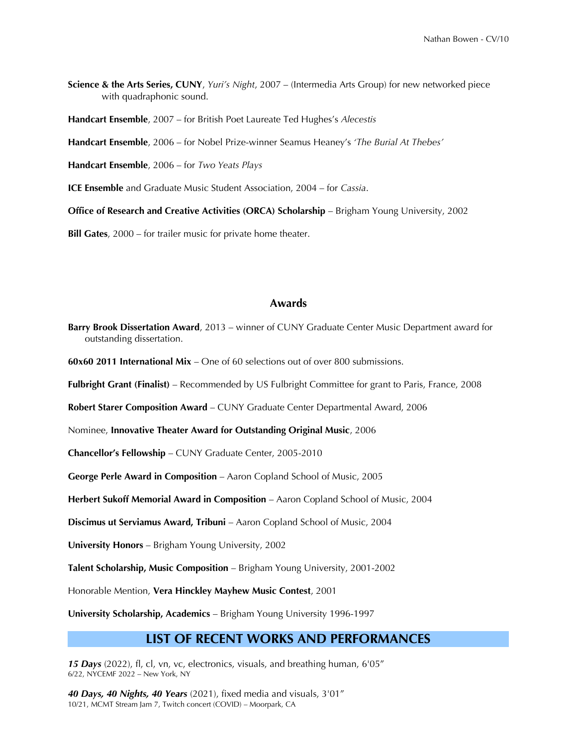**Science & the Arts Series, CUNY**, *Yuri's Night*, 2007 – (Intermedia Arts Group) for new networked piece with quadraphonic sound.

**Handcart Ensemble**, 2007 – for British Poet Laureate Ted Hughes's *Alecestis*

**Handcart Ensemble**, 2006 – for Nobel Prize-winner Seamus Heaney's *'The Burial At Thebes'*

**Handcart Ensemble**, 2006 – for *Two Yeats Plays*

**ICE Ensemble** and Graduate Music Student Association, 2004 – for *Cassia*.

**Office of Research and Creative Activities (ORCA) Scholarship** – Brigham Young University, 2002

**Bill Gates**, 2000 – for trailer music for private home theater.

### **Awards**

**Barry Brook Dissertation Award**, 2013 – winner of CUNY Graduate Center Music Department award for outstanding dissertation.

**60x60 2011 International Mix** – One of 60 selections out of over 800 submissions.

**Fulbright Grant (Finalist)** – Recommended by US Fulbright Committee for grant to Paris, France, 2008

**Robert Starer Composition Award** – CUNY Graduate Center Departmental Award, 2006

Nominee, **Innovative Theater Award for Outstanding Original Music**, 2006

**Chancellor's Fellowship** – CUNY Graduate Center, 2005-2010

**George Perle Award in Composition** – Aaron Copland School of Music, 2005

**Herbert Sukoff Memorial Award in Composition** – Aaron Copland School of Music, 2004

**Discimus ut Serviamus Award, Tribuni** – Aaron Copland School of Music, 2004

**University Honors** – Brigham Young University, 2002

**Talent Scholarship, Music Composition** – Brigham Young University, 2001-2002

Honorable Mention, **Vera Hinckley Mayhew Music Contest**, 2001

**University Scholarship, Academics** – Brigham Young University 1996-1997

## **LIST OF RECENT WORKS AND PERFORMANCES**

**15 Days** (2022), fl, cl, vn, vc, electronics, visuals, and breathing human, 6'05" 6/22, NYCEMF 2022 – New York, NY

*40 Days, 40 Nights, 40 Years* (2021), fxed media and visuals, 3'01" 10/21, MCMT Stream Jam 7, Twitch concert (COVID) – Moorpark, CA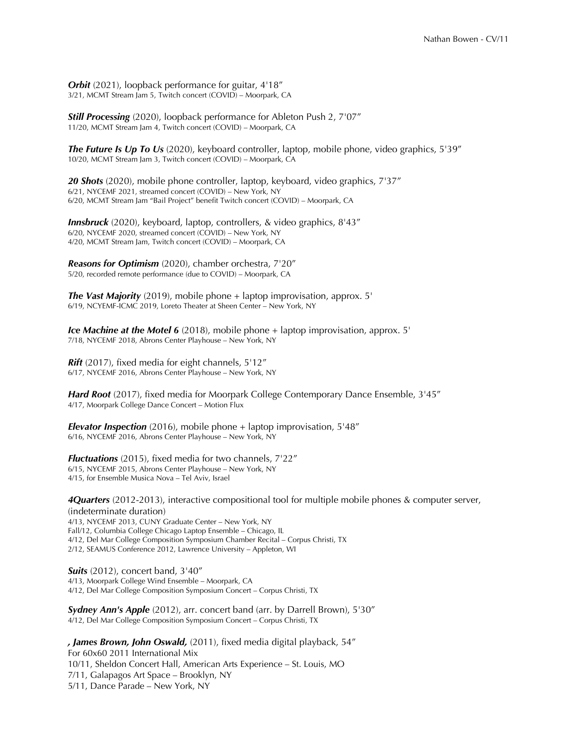**Orbit** (2021), loopback performance for guitar, 4'18" 3/21, MCMT Stream Jam 5, Twitch concert (COVID) – Moorpark, CA

*Still Processing* (2020), loopback performance for Ableton Push 2, 7'07" 11/20, MCMT Stream Jam 4, Twitch concert (COVID) – Moorpark, CA

*The Future Is Up To Us* (2020), keyboard controller, laptop, mobile phone, video graphics, 5'39" 10/20, MCMT Stream Jam 3, Twitch concert (COVID) – Moorpark, CA

**20 Shots** (2020), mobile phone controller, laptop, keyboard, video graphics, 7'37" 6/21, NYCEMF 2021, streamed concert (COVID) – New York, NY 6/20, MCMT Stream Jam "Bail Project" beneft Twitch concert (COVID) – Moorpark, CA

*Innsbruck* (2020), keyboard, laptop, controllers, & video graphics, 8'43" 6/20, NYCEMF 2020, streamed concert (COVID) – New York, NY 4/20, MCMT Stream Jam, Twitch concert (COVID) – Moorpark, CA

*Reasons for Optimism* (2020), chamber orchestra, 7'20" 5/20, recorded remote performance (due to COVID) – Moorpark, CA

*The Vast Majority* (2019), mobile phone + laptop improvisation, approx. 5' 6/19, NCYEMF-ICMC 2019, Loreto Theater at Sheen Center – New York, NY

*Ice Machine at the Motel 6* (2018), mobile phone + laptop improvisation, approx. 5' 7/18, NYCEMF 2018, Abrons Center Playhouse – New York, NY

**Rift** (2017), fixed media for eight channels, 5'12" 6/17, NYCEMF 2016, Abrons Center Playhouse – New York, NY

*Hard Root* (2017), fixed media for Moorpark College Contemporary Dance Ensemble, 3'45" 4/17, Moorpark College Dance Concert – Motion Flux

*Elevator Inspection* (2016), mobile phone + laptop improvisation, 5'48" 6/16, NYCEMF 2016, Abrons Center Playhouse – New York, NY

*Fluctuations* (2015), fixed media for two channels, 7'22" 6/15, NYCEMF 2015, Abrons Center Playhouse – New York, NY 4/15, for Ensemble Musica Nova – Tel Aviv, Israel

*4Quarters* (2012-2013), interactive compositional tool for multiple mobile phones & computer server, (indeterminate duration) 4/13, NYCEMF 2013, CUNY Graduate Center – New York, NY Fall/12, Columbia College Chicago Laptop Ensemble – Chicago, IL 4/12, Del Mar College Composition Symposium Chamber Recital – Corpus Christi, TX 2/12, SEAMUS Conference 2012, Lawrence University – Appleton, WI

*Suits* (2012), concert band, 3'40" 4/13, Moorpark College Wind Ensemble – Moorpark, CA 4/12, Del Mar College Composition Symposium Concert – Corpus Christi, TX

*Sydney Ann's Apple* (2012), arr. concert band (arr. by Darrell Brown), 5'30" 4/12, Del Mar College Composition Symposium Concert – Corpus Christi, TX

*, James Brown, John Oswald,* (2011), fxed media digital playback, 54" For 60x60 2011 International Mix 10/11, Sheldon Concert Hall, American Arts Experience – St. Louis, MO 7/11, Galapagos Art Space – Brooklyn, NY 5/11, Dance Parade – New York, NY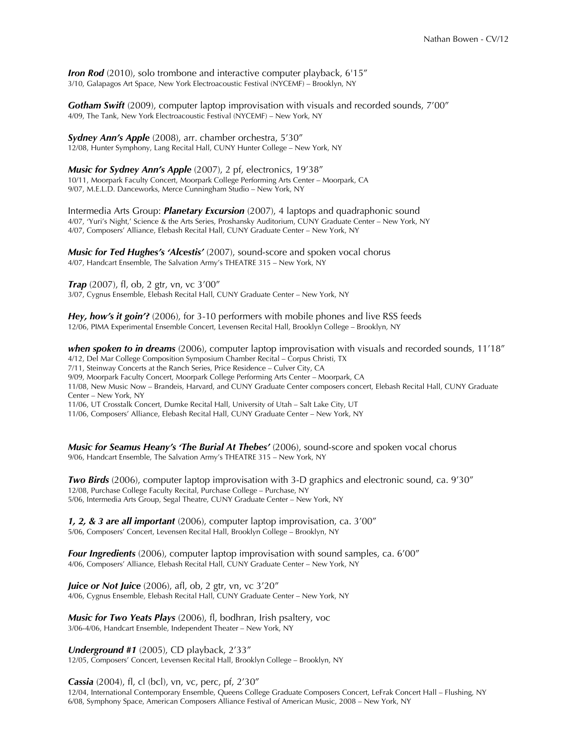*Iron Rod* (2010), solo trombone and interactive computer playback, 6'15" 3/10, Galapagos Art Space, New York Electroacoustic Festival (NYCEMF) – Brooklyn, NY

*Gotham Swift* (2009), computer laptop improvisation with visuals and recorded sounds, 7'00" 4/09, The Tank, New York Electroacoustic Festival (NYCEMF) – New York, NY

*Sydney Ann's Apple* (2008), arr. chamber orchestra, 5'30" 12/08, Hunter Symphony, Lang Recital Hall, CUNY Hunter College – New York, NY

*Music for Sydney Ann's Apple* (2007), 2 pf, electronics, 19'38" 10/11, Moorpark Faculty Concert, Moorpark College Performing Arts Center – Moorpark, CA 9/07, M.E.L.D. Danceworks, Merce Cunningham Studio – New York, NY

Intermedia Arts Group: *Planetary Excursion* (2007), 4 laptops and quadraphonic sound 4/07, 'Yuri's Night,' Science & the Arts Series, Proshansky Auditorium, CUNY Graduate Center – New York, NY 4/07, Composers' Alliance, Elebash Recital Hall, CUNY Graduate Center – New York, NY

*Music for Ted Hughes's 'Alcestis'* (2007), sound-score and spoken vocal chorus 4/07, Handcart Ensemble, The Salvation Army's THEATRE 315 – New York, NY

*Trap* (2007), fl, ob, 2 gtr, vn, vc 3'00" 3/07, Cygnus Ensemble, Elebash Recital Hall, CUNY Graduate Center – New York, NY

*Hey, how's it goin'?* (2006), for 3-10 performers with mobile phones and live RSS feeds 12/06, PIMA Experimental Ensemble Concert, Levensen Recital Hall, Brooklyn College – Brooklyn, NY

*when spoken to in dreams* (2006), computer laptop improvisation with visuals and recorded sounds, 11'18" 4/12, Del Mar College Composition Symposium Chamber Recital – Corpus Christi, TX 7/11, Steinway Concerts at the Ranch Series, Price Residence – Culver City, CA 9/09, Moorpark Faculty Concert, Moorpark College Performing Arts Center – Moorpark, CA 11/08, New Music Now – Brandeis, Harvard, and CUNY Graduate Center composers concert, Elebash Recital Hall, CUNY Graduate Center – New York, NY 11/06, UT Crosstalk Concert, Dumke Recital Hall, University of Utah – Salt Lake City, UT

11/06, Composers' Alliance, Elebash Recital Hall, CUNY Graduate Center – New York, NY

*Music for Seamus Heany's 'The Burial At Thebes'* (2006), sound-score and spoken vocal chorus 9/06, Handcart Ensemble, The Salvation Army's THEATRE 315 – New York, NY

*Two Birds* (2006), computer laptop improvisation with 3-D graphics and electronic sound, ca. 9'30" 12/08, Purchase College Faculty Recital, Purchase College – Purchase, NY 5/06, Intermedia Arts Group, Segal Theatre, CUNY Graduate Center – New York, NY

*1, 2, & 3 are all important* (2006), computer laptop improvisation, ca. 3'00" 5/06, Composers' Concert, Levensen Recital Hall, Brooklyn College – Brooklyn, NY

*Four Ingredients* (2006), computer laptop improvisation with sound samples, ca. 6'00" 4/06, Composers' Alliance, Elebash Recital Hall, CUNY Graduate Center – New York, NY

**Juice or Not Juice** (2006), afl, ob, 2 gtr, vn, vc 3'20" 4/06, Cygnus Ensemble, Elebash Recital Hall, CUNY Graduate Center – New York, NY

*Music for Two Yeats Plays* (2006), fl, bodhran, Irish psaltery, voc 3/06-4/06, Handcart Ensemble, Independent Theater – New York, NY

*Underground #1* (2005), CD playback, 2'33" 12/05, Composers' Concert, Levensen Recital Hall, Brooklyn College – Brooklyn, NY

**Cassia** (2004), fl, cl (bcl), vn, vc, perc, pf, 2'30"

12/04, International Contemporary Ensemble, Queens College Graduate Composers Concert, LeFrak Concert Hall – Flushing, NY 6/08, Symphony Space, American Composers Alliance Festival of American Music, 2008 – New York, NY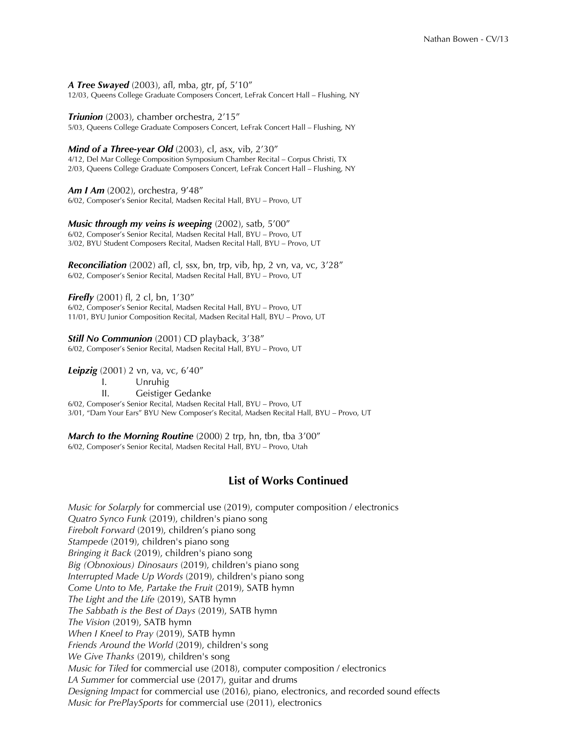#### **A Tree Swayed** (2003), afl, mba, gtr, pf, 5'10"

12/03, Queens College Graduate Composers Concert, LeFrak Concert Hall – Flushing, NY

*Triunion* (2003), chamber orchestra, 2'15"

5/03, Queens College Graduate Composers Concert, LeFrak Concert Hall – Flushing, NY

*Mind of a Three-year Old* (2003), cl, asx, vib, 2'30"

4/12, Del Mar College Composition Symposium Chamber Recital – Corpus Christi, TX 2/03, Queens College Graduate Composers Concert, LeFrak Concert Hall – Flushing, NY

*Am I Am* (2002), orchestra, 9'48" 6/02, Composer's Senior Recital, Madsen Recital Hall, BYU – Provo, UT

*Music through my veins is weeping* (2002), satb, 5'00" 6/02, Composer's Senior Recital, Madsen Recital Hall, BYU – Provo, UT 3/02, BYU Student Composers Recital, Madsen Recital Hall, BYU – Provo, UT

**Reconciliation** (2002) afl, cl, ssx, bn, trp, vib, hp, 2 vn, va, vc, 3'28" 6/02, Composer's Senior Recital, Madsen Recital Hall, BYU – Provo, UT

**Firefly** (2001) fl, 2 cl, bn, 1'30"

6/02, Composer's Senior Recital, Madsen Recital Hall, BYU – Provo, UT 11/01, BYU Junior Composition Recital, Madsen Recital Hall, BYU – Provo, UT

*Still No Communion* (2001) CD playback, 3'38" 6/02, Composer's Senior Recital, Madsen Recital Hall, BYU – Provo, UT

**Leipzig** (2001) 2 vn, va, vc, 6'40"

I. Unruhig

II. Geistiger Gedanke

6/02, Composer's Senior Recital, Madsen Recital Hall, BYU – Provo, UT

3/01, "Dam Your Ears" BYU New Composer's Recital, Madsen Recital Hall, BYU – Provo, UT

*March to the Morning Routine* (2000) 2 trp, hn, tbn, tba 3'00" 6/02, Composer's Senior Recital, Madsen Recital Hall, BYU – Provo, Utah

# **List of Works Continued**

*Music for Solarply* for commercial use (2019), computer composition / electronics *Quatro Synco Funk* (2019), children's piano song *Firebolt Forward* (2019), children's piano song *Stampede* (2019), children's piano song *Bringing it Back* (2019), children's piano song *Big (Obnoxious) Dinosaurs* (2019), children's piano song *Interrupted Made Up Words* (2019), children's piano song *Come Unto to Me, Partake the Fruit* (2019), SATB hymn *The Light and the Life* (2019), SATB hymn *The Sabbath is the Best of Days* (2019), SATB hymn *The Vision* (2019), SATB hymn *When I Kneel to Pray* (2019), SATB hymn *Friends Around the World* (2019), children's song *We Give Thanks* (2019), children's song *Music for Tiled* for commercial use (2018), computer composition / electronics *LA Summer* for commercial use (2017), guitar and drums *Designing Impact* for commercial use (2016), piano, electronics, and recorded sound effects *Music for PrePlaySports* for commercial use (2011), electronics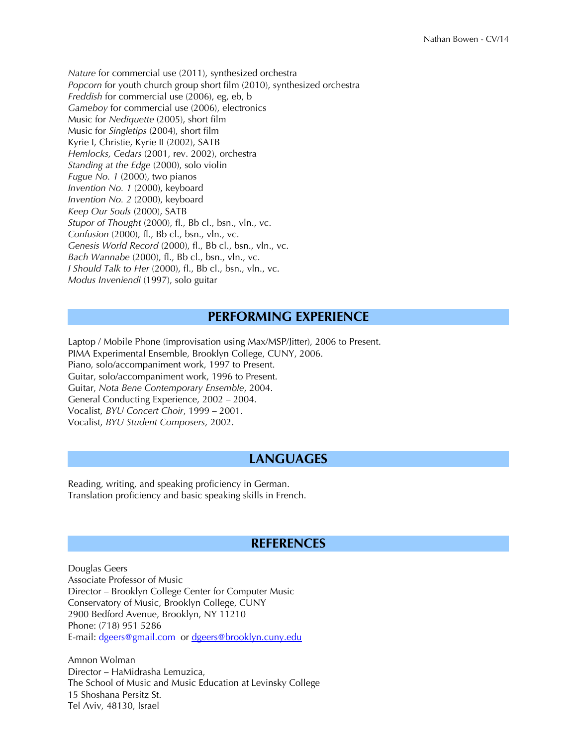*Nature* for commercial use (2011), synthesized orchestra *Popcorn* for youth church group short film (2010), synthesized orchestra *Freddish* for commercial use (2006), eg, eb, b *Gameboy* for commercial use (2006), electronics Music for *Nediquette* (2005), short flm Music for *Singletips* (2004), short flm Kyrie I, Christie, Kyrie II (2002), SATB *Hemlocks, Cedars* (2001, rev. 2002), orchestra *Standing at the Edge* (2000), solo violin *Fugue No. 1* (2000), two pianos *Invention No. 1* (2000), keyboard *Invention No. 2* (2000), keyboard *Keep Our Souls* (2000), SATB *Stupor of Thought* (2000), f., Bb cl., bsn., vln., vc. *Confusion* (2000), fl., Bb cl., bsn., vln., vc. *Genesis World Record* (2000), fl., Bb cl., bsn., vln., vc. *Bach Wannabe* (2000), fl., Bb cl., bsn., vln., vc. *I Should Talk to Her* (2000), fl., Bb cl., bsn., vln., vc. *Modus Inveniendi* (1997), solo guitar

# **PERFORMING EXPERIENCE**

Laptop / Mobile Phone (improvisation using Max/MSP/Jitter), 2006 to Present. PIMA Experimental Ensemble, Brooklyn College, CUNY, 2006. Piano, solo/accompaniment work, 1997 to Present. Guitar, solo/accompaniment work, 1996 to Present. Guitar, *Nota Bene Contemporary Ensemble*, 2004. General Conducting Experience, 2002 – 2004. Vocalist, *BYU Concert Choir*, 1999 – 2001. Vocalist, *BYU Student Composers,* 2002.

# **LANGUAGES**

Reading, writing, and speaking proficiency in German. Translation proficiency and basic speaking skills in French.

# **REFERENCES**

Douglas Geers Associate Professor of Music Director – Brooklyn College Center for Computer Music Conservatory of Music, Brooklyn College, CUNY 2900 Bedford Avenue, Brooklyn, NY 11210 Phone: (718) 951 5286 E-mail: dgeers@gmail.com or [dgeers@brooklyn.cuny.edu](mailto:dgeers@brooklyn.cuny.edu)

Amnon Wolman Director – HaMidrasha Lemuzica, The School of Music and Music Education at Levinsky College 15 Shoshana Persitz St. Tel Aviv, 48130, Israel